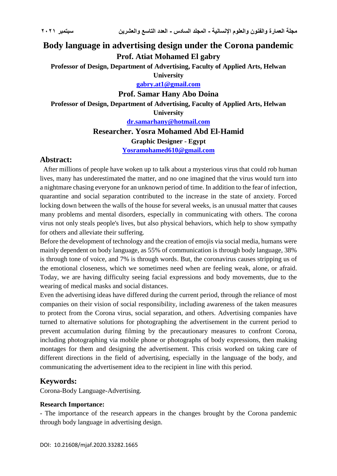# **Body language in advertising design under the Corona pandemic Prof. Atiat Mohamed El gabry Professor of Design, Department of Advertising, Faculty of Applied Arts, Helwan University [gabry.at1@gmail.com](mailto:gabry.at1@gmail.com)**

**Prof. Samar Hany Abo Doina Professor of Design, Department of Advertising, Faculty of Applied Arts, Helwan University**

**[dr.samarhany@hotmail.com](mailto:dr.samarhany@hotmail.com)**

**Researcher. Yosra Mohamed Abd El-Hamid**

**Graphic Designer - Egypt**

**[Yosramohamed610@gmail.com](mailto:Yosramohamed610@gmail.com)**

## **Abstract:**

 After millions of people have woken up to talk about a mysterious virus that could rob human lives, many has underestimated the matter, and no one imagined that the virus would turn into a nightmare chasing everyone for an unknown period of time. In addition to the fear of infection, quarantine and social separation contributed to the increase in the state of anxiety. Forced locking down between the walls of the house for several weeks, is an unusual matter that causes many problems and mental disorders, especially in communicating with others. The corona virus not only steals people's lives, but also physical behaviors, which help to show sympathy for others and alleviate their suffering.

Before the development of technology and the creation of emojis via social media, humans were mainly dependent on body language, as 55% of communication is through body language, 38% is through tone of voice, and 7% is through words. But, the coronavirus causes stripping us of the emotional closeness, which we sometimes need when are feeling weak, alone, or afraid. Today, we are having difficulty seeing facial expressions and body movements, due to the wearing of medical masks and social distances.

Even the advertising ideas have differed during the current period, through the reliance of most companies on their vision of social responsibility, including awareness of the taken measures to protect from the Corona virus, social separation, and others. Advertising companies have turned to alternative solutions for photographing the advertisement in the current period to prevent accumulation during filming by the precautionary measures to confront Corona, including photographing via mobile phone or photographs of body expressions, then making montages for them and designing the advertisement. This crisis worked on taking care of different directions in the field of advertising, especially in the language of the body, and communicating the advertisement idea to the recipient in line with this period.

## **Keywords:**

Corona-Body Language-Advertising.

#### **Research Importance:**

- The importance of the research appears in the changes brought by the Corona pandemic through body language in advertising design.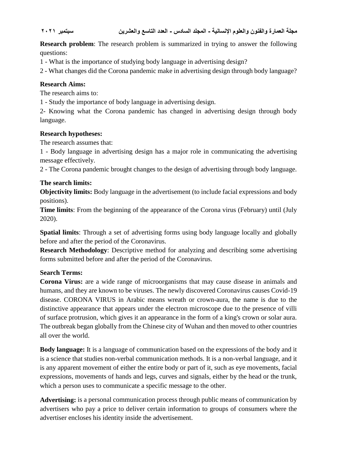**Research problem:** The research problem is summarized in trying to answer the following questions:

1 - What is the importance of studying body language in advertising design?

2 - What changes did the Corona pandemic make in advertising design through body language?

## **Research Aims:**

The research aims to:

1 - Study the importance of body language in advertising design.

2- Knowing what the Corona pandemic has changed in advertising design through body language.

## **Research hypotheses:**

The research assumes that:

1 - Body language in advertising design has a major role in communicating the advertising message effectively.

2 - The Corona pandemic brought changes to the design of advertising through body language.

## **The search limits:**

**Objectivity limits:** Body language in the advertisement (to include facial expressions and body positions).

**Time limits**: From the beginning of the appearance of the Corona virus (February) until (July 2020).

**Spatial limits**: Through a set of advertising forms using body language locally and globally before and after the period of the Coronavirus.

**Research Methodology**: Descriptive method for analyzing and describing some advertising forms submitted before and after the period of the Coronavirus.

## **Search Terms:**

**Corona Virus:** are a wide range of microorganisms that may cause disease in animals and humans, and they are known to be viruses. The newly discovered Coronavirus causes Covid-19 disease. CORONA VIRUS in Arabic means wreath or crown-aura, the name is due to the distinctive appearance that appears under the electron microscope due to the presence of villi of surface protrusion, which gives it an appearance in the form of a king's crown or solar aura. The outbreak began globally from the Chinese city of Wuhan and then moved to other countries all over the world.

**Body language:** It is a language of communication based on the expressions of the body and it is a science that studies non-verbal communication methods. It is a non-verbal language, and it is any apparent movement of either the entire body or part of it, such as eye movements, facial expressions, movements of hands and legs, curves and signals, either by the head or the trunk, which a person uses to communicate a specific message to the other.

**Advertising:** is a personal communication process through public means of communication by advertisers who pay a price to deliver certain information to groups of consumers where the advertiser encloses his identity inside the advertisement.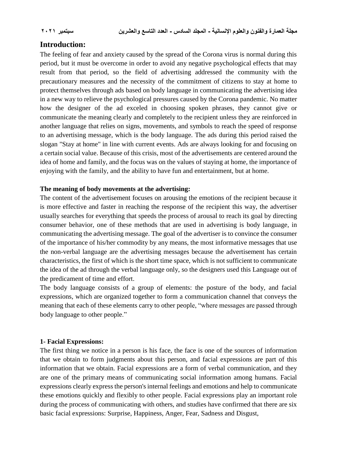## **Introduction:**

The feeling of fear and anxiety caused by the spread of the Corona virus is normal during this period, but it must be overcome in order to avoid any negative psychological effects that may result from that period, so the field of advertising addressed the community with the precautionary measures and the necessity of the commitment of citizens to stay at home to protect themselves through ads based on body language in communicating the advertising idea in a new way to relieve the psychological pressures caused by the Corona pandemic. No matter how the designer of the ad exceled in choosing spoken phrases, they cannot give or communicate the meaning clearly and completely to the recipient unless they are reinforced in another language that relies on signs, movements, and symbols to reach the speed of response to an advertising message, which is the body language. The ads during this period raised the slogan "Stay at home" in line with current events. Ads are always looking for and focusing on a certain social value. Because of this crisis, most of the advertisements are centered around the idea of home and family, and the focus was on the values of staying at home, the importance of enjoying with the family, and the ability to have fun and entertainment, but at home.

#### **The meaning of body movements at the advertising:**

The content of the advertisement focuses on arousing the emotions of the recipient because it is more effective and faster in reaching the response of the recipient this way, the advertiser usually searches for everything that speeds the process of arousal to reach its goal by directing consumer behavior, one of these methods that are used in advertising is body language, in communicating the advertising message. The goal of the advertiser is to convince the consumer of the importance of his/her commodity by any means, the most informative messages that use the non-verbal language are the advertising messages because the advertisement has certain characteristics, the first of which is the short time space, which is not sufficient to communicate the idea of the ad through the verbal language only, so the designers used this Language out of the predicament of time and effort.

The body language consists of a group of elements: the posture of the body, and facial expressions, which are organized together to form a communication channel that conveys the meaning that each of these elements carry to other people, "where messages are passed through body language to other people."

### **1- Facial Expressions:**

The first thing we notice in a person is his face, the face is one of the sources of information that we obtain to form judgments about this person, and facial expressions are part of this information that we obtain. Facial expressions are a form of verbal communication, and they are one of the primary means of communicating social information among humans. Facial expressions clearly express the person's internal feelings and emotions and help to communicate these emotions quickly and flexibly to other people. Facial expressions play an important role during the process of communicating with others, and studies have confirmed that there are six basic facial expressions: Surprise, Happiness, Anger, Fear, Sadness and Disgust,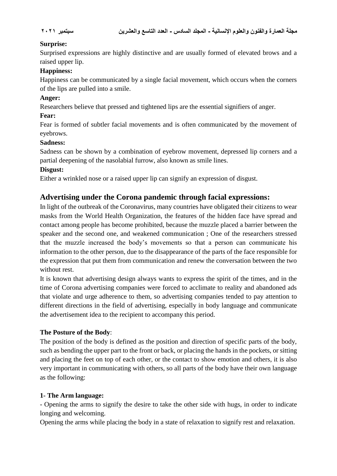### **Surprise:**

Surprised expressions are highly distinctive and are usually formed of elevated brows and a raised upper lip.

#### **Happiness:**

Happiness can be communicated by a single facial movement, which occurs when the corners of the lips are pulled into a smile.

### **Anger:**

Researchers believe that pressed and tightened lips are the essential signifiers of anger.

### **Fear:**

Fear is formed of subtler facial movements and is often communicated by the movement of eyebrows.

#### **Sadness:**

Sadness can be shown by a combination of eyebrow movement, depressed lip corners and a partial deepening of the nasolabial furrow, also known as smile lines.

#### **Disgust:**

Either a wrinkled nose or a raised upper lip can signify an expression of disgust.

## **Advertising under the Corona pandemic through facial expressions:**

In light of the outbreak of the Coronavirus, many countries have obligated their citizens to wear masks from the World Health Organization, the features of the hidden face have spread and contact among people has become prohibited, because the muzzle placed a barrier between the speaker and the second one, and weakened communication ; One of the researchers stressed that the muzzle increased the body's movements so that a person can communicate his information to the other person, due to the disappearance of the parts of the face responsible for the expression that put them from communication and renew the conversation between the two without rest.

It is known that advertising design always wants to express the spirit of the times, and in the time of Corona advertising companies were forced to acclimate to reality and abandoned ads that violate and urge adherence to them, so advertising companies tended to pay attention to different directions in the field of advertising, especially in body language and communicate the advertisement idea to the recipient to accompany this period.

#### **The Posture of the Body**:

The position of the body is defined as the position and direction of specific parts of the body, such as bending the upper part to the front or back, or placing the hands in the pockets, or sitting and placing the feet on top of each other, or the contact to show emotion and others, it is also very important in communicating with others, so all parts of the body have their own language as the following:

### **1- The Arm language:**

- Opening the arms to signify the desire to take the other side with hugs, in order to indicate longing and welcoming.

Opening the arms while placing the body in a state of relaxation to signify rest and relaxation.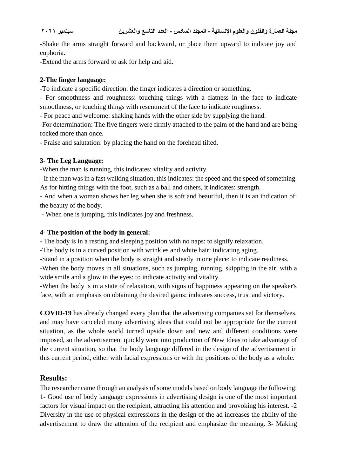-Shake the arms straight forward and backward, or place them upward to indicate joy and euphoria.

-Extend the arms forward to ask for help and aid.

## **2-The finger language:**

-To indicate a specific direction: the finger indicates a direction or something.

- For smoothness and roughness: touching things with a flatness in the face to indicate smoothness, or touching things with resentment of the face to indicate roughness.

- For peace and welcome: shaking hands with the other side by supplying the hand.

-For determination: The five fingers were firmly attached to the palm of the hand and are being rocked more than once.

- Praise and salutation: by placing the hand on the forehead tilted.

## **3- The Leg Language:**

-When the man is running, this indicates: vitality and activity.

- If the man was in a fast walking situation, this indicates: the speed and the speed of something. As for hitting things with the foot, such as a ball and others, it indicates: strength.

- And when a woman shows her leg when she is soft and beautiful, then it is an indication of: the beauty of the body.

- When one is jumping, this indicates joy and freshness.

## **4- The position of the body in general:**

- The body is in a resting and sleeping position with no naps: to signify relaxation.

-The body is in a curved position with wrinkles and white hair: indicating aging.

-Stand in a position when the body is straight and steady in one place: to indicate readiness.

-When the body moves in all situations, such as jumping, running, skipping in the air, with a wide smile and a glow in the eyes: to indicate activity and vitality.

-When the body is in a state of relaxation, with signs of happiness appearing on the speaker's face, with an emphasis on obtaining the desired gains: indicates success, trust and victory.

**COVID-19** has already changed every plan that the advertising companies set for themselves, and may have canceled many advertising ideas that could not be appropriate for the current situation, as the whole world turned upside down and new and different conditions were imposed, so the advertisement quickly went into production of New Ideas to take advantage of the current situation, so that the body language differed in the design of the advertisement in this current period, either with facial expressions or with the positions of the body as a whole.

## **Results:**

The researcher came through an analysis of some models based on body language the following: 1- Good use of body language expressions in advertising design is one of the most important factors for visual impact on the recipient, attracting his attention and provoking his interest. -2 Diversity in the use of physical expressions in the design of the ad increases the ability of the advertisement to draw the attention of the recipient and emphasize the meaning. 3- Making